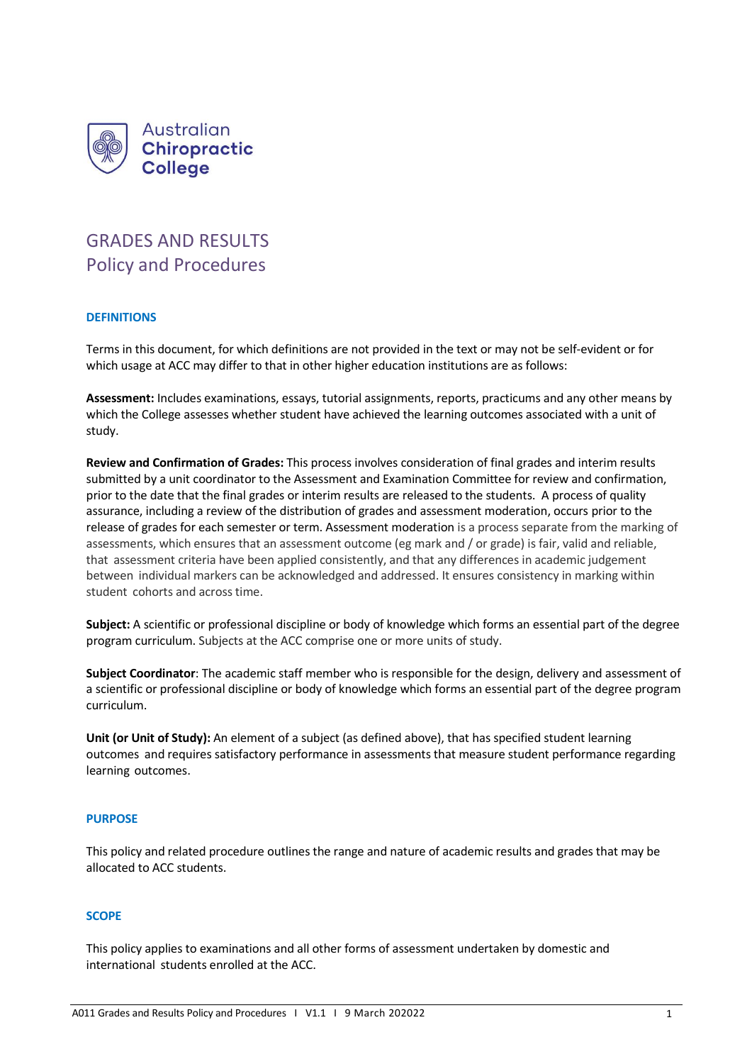

# GRADES AND RESULTS Policy and Procedures

## **DEFINITIONS**

Terms in this document, for which definitions are not provided in the text or may not be self-evident or for which usage at ACC may differ to that in other higher education institutions are as follows:

**Assessment:** Includes examinations, essays, tutorial assignments, reports, practicums and any other means by which the College assesses whether student have achieved the learning outcomes associated with a unit of study.

**Review and Confirmation of Grades:** This process involves consideration of final grades and interim results submitted by a unit coordinator to the Assessment and Examination Committee for review and confirmation, prior to the date that the final grades or interim results are released to the students. A process of quality assurance, including a review of the distribution of grades and assessment moderation, occurs prior to the release of grades for each semester or term. Assessment moderation is a process separate from the marking of assessments, which ensures that an assessment outcome (eg mark and / or grade) is fair, valid and reliable, that assessment criteria have been applied consistently, and that any differences in academic judgement between individual markers can be acknowledged and addressed. It ensures consistency in marking within student cohorts and across time.

**Subject:** A scientific or professional discipline or body of knowledge which forms an essential part of the degree program curriculum. Subjects at the ACC comprise one or more units of study.

**Subject Coordinator**: The academic staff member who is responsible for the design, delivery and assessment of a scientific or professional discipline or body of knowledge which forms an essential part of the degree program curriculum.

**Unit (or Unit of Study):** An element of a subject (as defined above), that has specified student learning outcomes and requires satisfactory performance in assessments that measure student performance regarding learning outcomes.

## **PURPOSE**

This policy and related procedure outlines the range and nature of academic results and grades that may be allocated to ACC students.

## **SCOPE**

This policy applies to examinations and all other forms of assessment undertaken by domestic and international students enrolled at the ACC.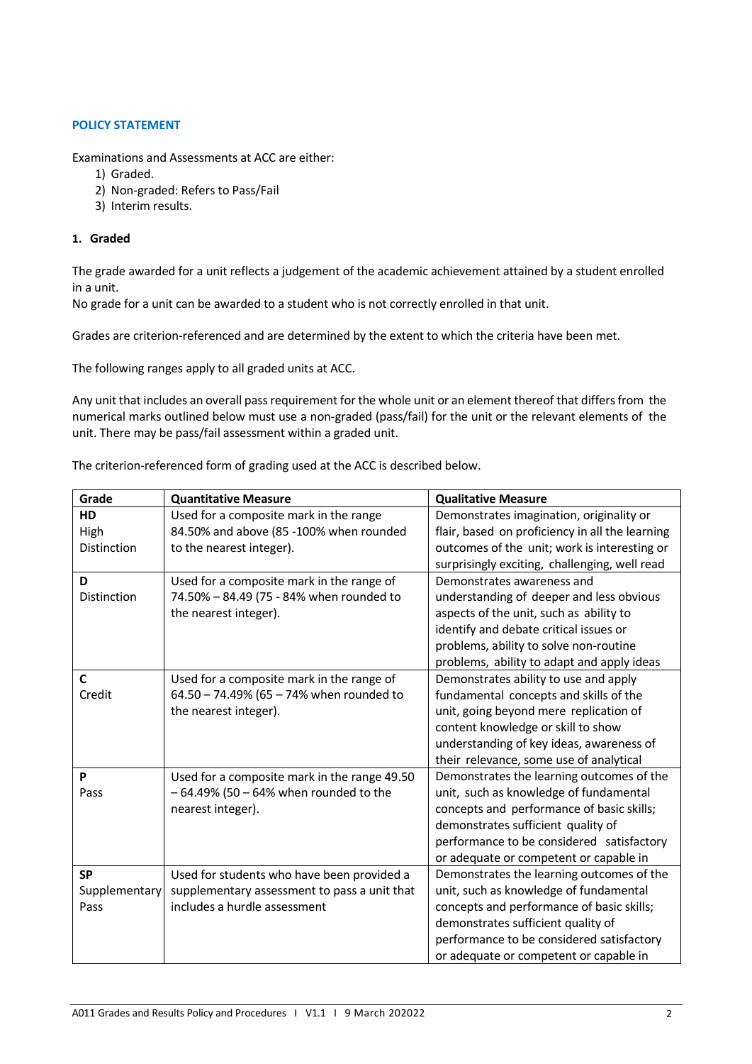# **POLICY STATEMENT**

Examinations and Assessments at ACC are either:

- 1) Graded.
- 2) Non-graded: Refers to Pass/Fail
- 3) Interim results.

## **1. Graded**

The grade awarded for a unit reflects a judgement of the academic achievement attained by a student enrolled in a unit.

No grade for a unit can be awarded to a student who is not correctly enrolled in that unit.

Grades are criterion-referenced and are determined by the extent to which the criteria have been met.

The following ranges apply to all graded units at ACC.

Any unit that includes an overall pass requirement for the whole unit or an element thereof that differs from the numerical marks outlined below must use a non-graded (pass/fail) for the unit or the relevant elements of the unit. There may be pass/fail assessment within a graded unit.

The criterion-referenced form of grading used at the ACC is described below.

| Grade         | <b>Quantitative Measure</b>                  | <b>Qualitative Measure</b>                      |
|---------------|----------------------------------------------|-------------------------------------------------|
| HD            | Used for a composite mark in the range       | Demonstrates imagination, originality or        |
| High          | 84.50% and above (85 -100% when rounded      | flair, based on proficiency in all the learning |
| Distinction   | to the nearest integer).                     | outcomes of the unit; work is interesting or    |
|               |                                              | surprisingly exciting, challenging, well read   |
| D             | Used for a composite mark in the range of    | Demonstrates awareness and                      |
| Distinction   | 74.50% - 84.49 (75 - 84% when rounded to     | understanding of deeper and less obvious        |
|               | the nearest integer).                        | aspects of the unit, such as ability to         |
|               |                                              | identify and debate critical issues or          |
|               |                                              | problems, ability to solve non-routine          |
|               |                                              | problems, ability to adapt and apply ideas      |
| $\mathbf c$   | Used for a composite mark in the range of    | Demonstrates ability to use and apply           |
| Credit        | 64.50 - 74.49% (65 - 74% when rounded to     | fundamental concepts and skills of the          |
|               | the nearest integer).                        | unit, going beyond mere replication of          |
|               |                                              | content knowledge or skill to show              |
|               |                                              | understanding of key ideas, awareness of        |
|               |                                              | their relevance, some use of analytical         |
| P             | Used for a composite mark in the range 49.50 | Demonstrates the learning outcomes of the       |
| Pass          | $-64.49\%$ (50 $-64\%$ when rounded to the   | unit, such as knowledge of fundamental          |
|               | nearest integer).                            | concepts and performance of basic skills;       |
|               |                                              | demonstrates sufficient quality of              |
|               |                                              | performance to be considered satisfactory       |
|               |                                              | or adequate or competent or capable in          |
| <b>SP</b>     | Used for students who have been provided a   | Demonstrates the learning outcomes of the       |
| Supplementary | supplementary assessment to pass a unit that | unit, such as knowledge of fundamental          |
| Pass          | includes a hurdle assessment                 | concepts and performance of basic skills;       |
|               |                                              | demonstrates sufficient quality of              |
|               |                                              | performance to be considered satisfactory       |
|               |                                              | or adequate or competent or capable in          |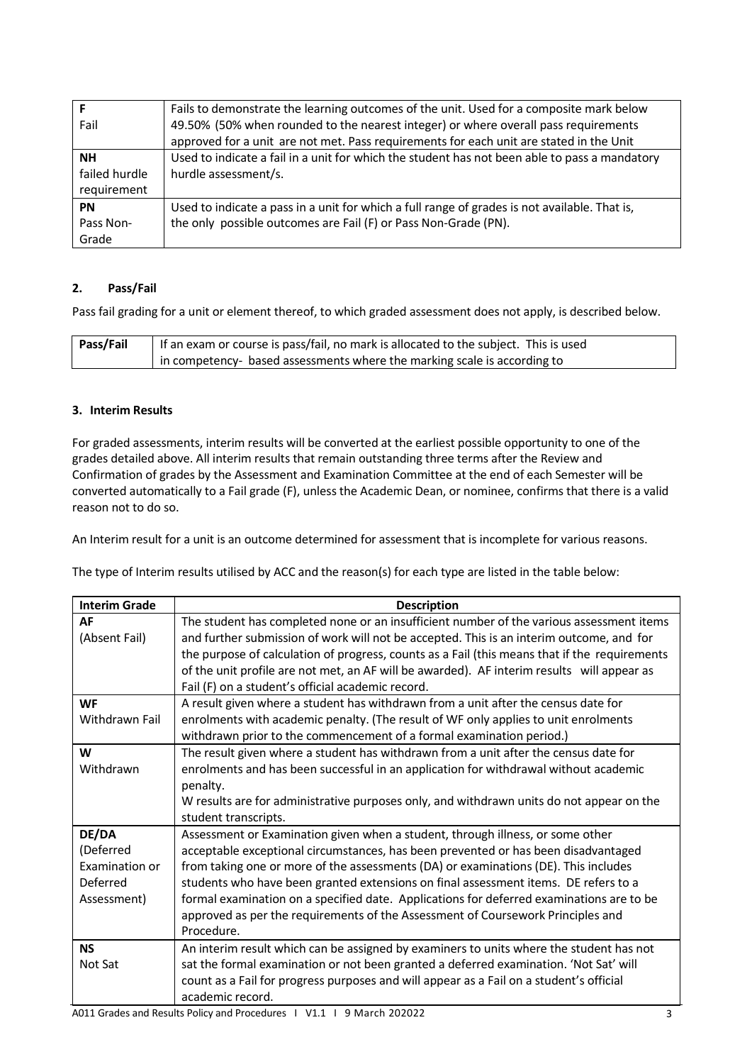|               | Fails to demonstrate the learning outcomes of the unit. Used for a composite mark below       |  |
|---------------|-----------------------------------------------------------------------------------------------|--|
| Fail          | 49.50% (50% when rounded to the nearest integer) or where overall pass requirements           |  |
|               | approved for a unit are not met. Pass requirements for each unit are stated in the Unit       |  |
| <b>NH</b>     | Used to indicate a fail in a unit for which the student has not been able to pass a mandatory |  |
| failed hurdle | hurdle assessment/s.                                                                          |  |
| requirement   |                                                                                               |  |
| <b>PN</b>     | Used to indicate a pass in a unit for which a full range of grades is not available. That is, |  |
| Pass Non-     | the only possible outcomes are Fail (F) or Pass Non-Grade (PN).                               |  |
| Grade         |                                                                                               |  |

# **2. Pass/Fail**

Pass fail grading for a unit or element thereof, to which graded assessment does not apply, is described below.

| Pass/Fail | If an exam or course is pass/fail, no mark is allocated to the subject. This is used |  |
|-----------|--------------------------------------------------------------------------------------|--|
|           | $\pm$ in competency- based assessments where the marking scale is according to       |  |

# **3. Interim Results**

For graded assessments, interim results will be converted at the earliest possible opportunity to one of the grades detailed above. All interim results that remain outstanding three terms after the Review and Confirmation of grades by the Assessment and Examination Committee at the end of each Semester will be converted automatically to a Fail grade (F), unless the Academic Dean, or nominee, confirms that there is a valid reason not to do so.

An Interim result for a unit is an outcome determined for assessment that is incomplete for various reasons.

The type of Interim results utilised by ACC and the reason(s) for each type are listed in the table below:

| <b>Interim Grade</b> | <b>Description</b>                                                                            |  |  |
|----------------------|-----------------------------------------------------------------------------------------------|--|--|
| AF                   | The student has completed none or an insufficient number of the various assessment items      |  |  |
| (Absent Fail)        | and further submission of work will not be accepted. This is an interim outcome, and for      |  |  |
|                      | the purpose of calculation of progress, counts as a Fail (this means that if the requirements |  |  |
|                      | of the unit profile are not met, an AF will be awarded). AF interim results will appear as    |  |  |
|                      | Fail (F) on a student's official academic record.                                             |  |  |
| <b>WF</b>            | A result given where a student has withdrawn from a unit after the census date for            |  |  |
| Withdrawn Fail       | enrolments with academic penalty. (The result of WF only applies to unit enrolments           |  |  |
|                      | withdrawn prior to the commencement of a formal examination period.)                          |  |  |
| W                    | The result given where a student has withdrawn from a unit after the census date for          |  |  |
| Withdrawn            | enrolments and has been successful in an application for withdrawal without academic          |  |  |
|                      | penalty.                                                                                      |  |  |
|                      | W results are for administrative purposes only, and withdrawn units do not appear on the      |  |  |
|                      | student transcripts.                                                                          |  |  |
| DE/DA                | Assessment or Examination given when a student, through illness, or some other                |  |  |
| (Deferred            | acceptable exceptional circumstances, has been prevented or has been disadvantaged            |  |  |
| Examination or       | from taking one or more of the assessments (DA) or examinations (DE). This includes           |  |  |
| Deferred             | students who have been granted extensions on final assessment items. DE refers to a           |  |  |
| Assessment)          | formal examination on a specified date. Applications for deferred examinations are to be      |  |  |
|                      | approved as per the requirements of the Assessment of Coursework Principles and               |  |  |
|                      | Procedure.                                                                                    |  |  |
| <b>NS</b>            | An interim result which can be assigned by examiners to units where the student has not       |  |  |
| Not Sat              | sat the formal examination or not been granted a deferred examination. 'Not Sat' will         |  |  |
|                      | count as a Fail for progress purposes and will appear as a Fail on a student's official       |  |  |
|                      | academic record.                                                                              |  |  |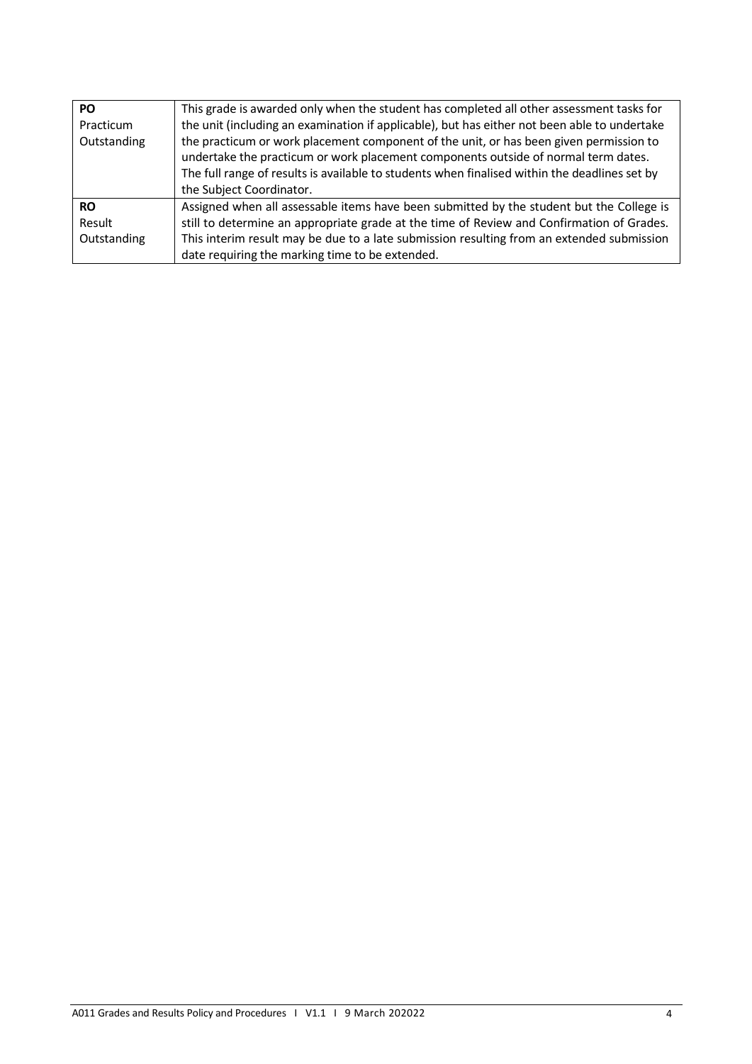| PO.         | This grade is awarded only when the student has completed all other assessment tasks for                                                                                                                                                                                                                  |
|-------------|-----------------------------------------------------------------------------------------------------------------------------------------------------------------------------------------------------------------------------------------------------------------------------------------------------------|
| Practicum   | the unit (including an examination if applicable), but has either not been able to undertake                                                                                                                                                                                                              |
| Outstanding | the practicum or work placement component of the unit, or has been given permission to<br>undertake the practicum or work placement components outside of normal term dates.<br>The full range of results is available to students when finalised within the deadlines set by<br>the Subject Coordinator. |
| <b>RO</b>   | Assigned when all assessable items have been submitted by the student but the College is                                                                                                                                                                                                                  |
| Result      | still to determine an appropriate grade at the time of Review and Confirmation of Grades.                                                                                                                                                                                                                 |
| Outstanding | This interim result may be due to a late submission resulting from an extended submission                                                                                                                                                                                                                 |
|             | date requiring the marking time to be extended.                                                                                                                                                                                                                                                           |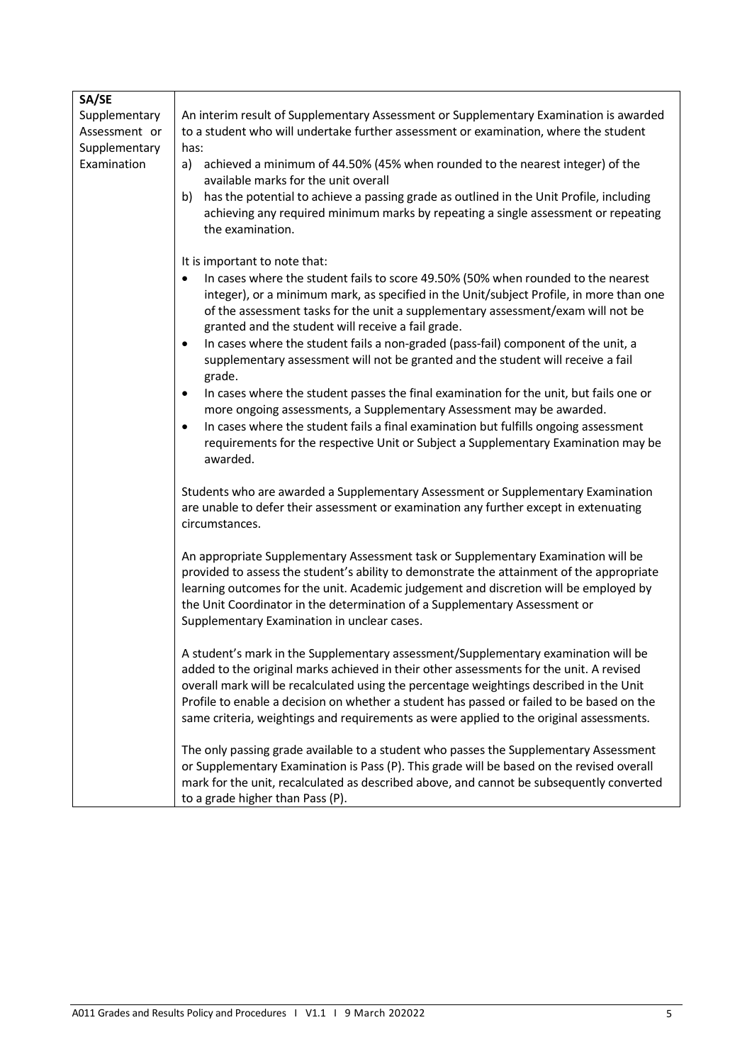| SA/SE         |                                                                                                                                                                                      |  |  |
|---------------|--------------------------------------------------------------------------------------------------------------------------------------------------------------------------------------|--|--|
| Supplementary | An interim result of Supplementary Assessment or Supplementary Examination is awarded                                                                                                |  |  |
| Assessment or | to a student who will undertake further assessment or examination, where the student                                                                                                 |  |  |
| Supplementary | has:                                                                                                                                                                                 |  |  |
| Examination   | achieved a minimum of 44.50% (45% when rounded to the nearest integer) of the<br>a)                                                                                                  |  |  |
|               | available marks for the unit overall                                                                                                                                                 |  |  |
|               | has the potential to achieve a passing grade as outlined in the Unit Profile, including<br>b)                                                                                        |  |  |
|               | achieving any required minimum marks by repeating a single assessment or repeating                                                                                                   |  |  |
|               | the examination.                                                                                                                                                                     |  |  |
|               | It is important to note that:                                                                                                                                                        |  |  |
|               | In cases where the student fails to score 49.50% (50% when rounded to the nearest<br>$\bullet$                                                                                       |  |  |
|               | integer), or a minimum mark, as specified in the Unit/subject Profile, in more than one                                                                                              |  |  |
|               | of the assessment tasks for the unit a supplementary assessment/exam will not be                                                                                                     |  |  |
|               | granted and the student will receive a fail grade.                                                                                                                                   |  |  |
|               | In cases where the student fails a non-graded (pass-fail) component of the unit, a<br>$\bullet$                                                                                      |  |  |
|               | supplementary assessment will not be granted and the student will receive a fail                                                                                                     |  |  |
|               | grade.                                                                                                                                                                               |  |  |
|               | In cases where the student passes the final examination for the unit, but fails one or<br>$\bullet$                                                                                  |  |  |
|               | more ongoing assessments, a Supplementary Assessment may be awarded.                                                                                                                 |  |  |
|               | In cases where the student fails a final examination but fulfills ongoing assessment<br>$\bullet$                                                                                    |  |  |
|               | requirements for the respective Unit or Subject a Supplementary Examination may be                                                                                                   |  |  |
|               | awarded.                                                                                                                                                                             |  |  |
|               | Students who are awarded a Supplementary Assessment or Supplementary Examination                                                                                                     |  |  |
|               | are unable to defer their assessment or examination any further except in extenuating                                                                                                |  |  |
|               | circumstances.                                                                                                                                                                       |  |  |
|               |                                                                                                                                                                                      |  |  |
|               | An appropriate Supplementary Assessment task or Supplementary Examination will be                                                                                                    |  |  |
|               | provided to assess the student's ability to demonstrate the attainment of the appropriate                                                                                            |  |  |
|               | learning outcomes for the unit. Academic judgement and discretion will be employed by                                                                                                |  |  |
|               | the Unit Coordinator in the determination of a Supplementary Assessment or                                                                                                           |  |  |
|               | Supplementary Examination in unclear cases.                                                                                                                                          |  |  |
|               |                                                                                                                                                                                      |  |  |
|               | A student's mark in the Supplementary assessment/Supplementary examination will be                                                                                                   |  |  |
|               | added to the original marks achieved in their other assessments for the unit. A revised                                                                                              |  |  |
|               | overall mark will be recalculated using the percentage weightings described in the Unit                                                                                              |  |  |
|               | Profile to enable a decision on whether a student has passed or failed to be based on the<br>same criteria, weightings and requirements as were applied to the original assessments. |  |  |
|               |                                                                                                                                                                                      |  |  |
|               | The only passing grade available to a student who passes the Supplementary Assessment                                                                                                |  |  |
|               | or Supplementary Examination is Pass (P). This grade will be based on the revised overall                                                                                            |  |  |
|               | mark for the unit, recalculated as described above, and cannot be subsequently converted                                                                                             |  |  |
|               | to a grade higher than Pass (P).                                                                                                                                                     |  |  |